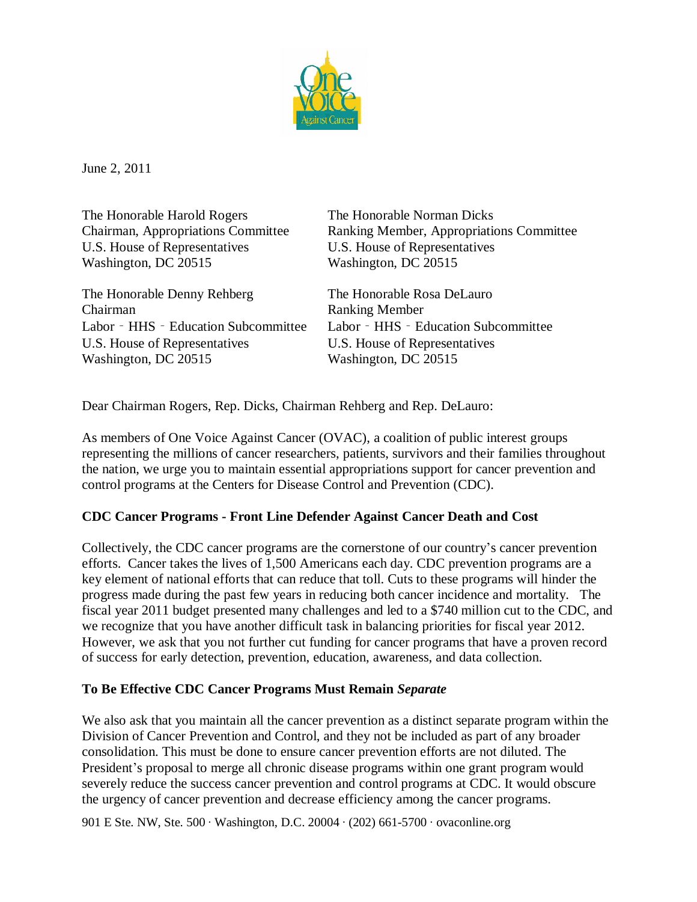

June 2, 2011

The Honorable Harold Rogers The Honorable Norman Dicks U.S. House of Representatives U.S. House of Representatives Washington, DC 20515 Washington, DC 20515

The Honorable Denny Rehberg The Honorable Rosa DeLauro Chairman Ranking Member Labor - HHS - Education Subcommittee Labor - HHS - Education Subcommittee U.S. House of Representatives U.S. House of Representatives Washington, DC 20515 Washington, DC 20515

Chairman, Appropriations Committee Ranking Member, Appropriations Committee

Dear Chairman Rogers, Rep. Dicks, Chairman Rehberg and Rep. DeLauro:

As members of One Voice Against Cancer (OVAC), a coalition of public interest groups representing the millions of cancer researchers, patients, survivors and their families throughout the nation, we urge you to maintain essential appropriations support for cancer prevention and control programs at the Centers for Disease Control and Prevention (CDC).

### **CDC Cancer Programs - Front Line Defender Against Cancer Death and Cost**

Collectively, the CDC cancer programs are the cornerstone of our country's cancer prevention efforts. Cancer takes the lives of 1,500 Americans each day. CDC prevention programs are a key element of national efforts that can reduce that toll. Cuts to these programs will hinder the progress made during the past few years in reducing both cancer incidence and mortality. The fiscal year 2011 budget presented many challenges and led to a \$740 million cut to the CDC, and we recognize that you have another difficult task in balancing priorities for fiscal year 2012. However, we ask that you not further cut funding for cancer programs that have a proven record of success for early detection, prevention, education, awareness, and data collection.

### **To Be Effective CDC Cancer Programs Must Remain** *Separate*

We also ask that you maintain all the cancer prevention as a distinct separate program within the Division of Cancer Prevention and Control, and they not be included as part of any broader consolidation. This must be done to ensure cancer prevention efforts are not diluted. The President's proposal to merge all chronic disease programs within one grant program would severely reduce the success cancer prevention and control programs at CDC. It would obscure the urgency of cancer prevention and decrease efficiency among the cancer programs.

901 E Ste. NW, Ste. 500 ∙ Washington, D.C. 20004 ∙ (202) 661-5700 ∙ovaconline.org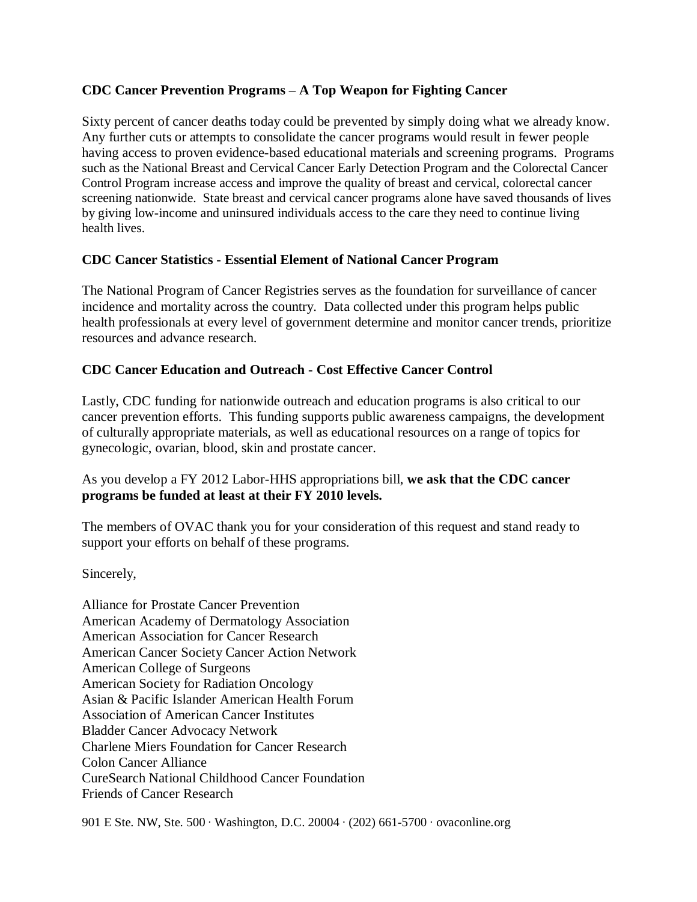## **CDC Cancer Prevention Programs –A Top Weapon for Fighting Cancer**

Sixty percent of cancer deaths today could be prevented by simply doing what we already know. Any further cuts or attempts to consolidate the cancer programs would result in fewer people having access to proven evidence-based educational materials and screening programs. Programs such as the National Breast and Cervical Cancer Early Detection Program and the Colorectal Cancer Control Program increase access and improve the quality of breast and cervical, colorectal cancer screening nationwide. State breast and cervical cancer programs alone have saved thousands of lives by giving low-income and uninsured individuals access to the care they need to continue living health lives.

### **CDC Cancer Statistics - Essential Element of National Cancer Program**

The National Program of Cancer Registries serves as the foundation for surveillance of cancer incidence and mortality across the country. Data collected under this program helps public health professionals at every level of government determine and monitor cancer trends, prioritize resources and advance research.

# **CDC Cancer Education and Outreach - Cost Effective Cancer Control**

Lastly, CDC funding for nationwide outreach and education programs is also critical to our cancer prevention efforts. This funding supports public awareness campaigns, the development of culturally appropriate materials, as well as educational resources on a range of topics for gynecologic, ovarian, blood, skin and prostate cancer.

### As you develop a FY 2012 Labor-HHS appropriations bill, **we ask that the CDC cancer programs be funded at least at their FY 2010 levels.**

The members of OVAC thank you for your consideration of this request and stand ready to support your efforts on behalf of these programs.

Sincerely,

Alliance for Prostate Cancer Prevention American Academy of Dermatology Association American Association for Cancer Research American Cancer Society Cancer Action Network American College of Surgeons American Society for Radiation Oncology Asian & Pacific Islander American Health Forum Association of American Cancer Institutes Bladder Cancer Advocacy Network Charlene Miers Foundation for Cancer Research Colon Cancer Alliance CureSearch National Childhood Cancer Foundation Friends of Cancer Research

901 E Ste. NW, Ste. 500 ∙ Washington, D.C. 20004 ∙ (202) 661-5700 ∙ovaconline.org